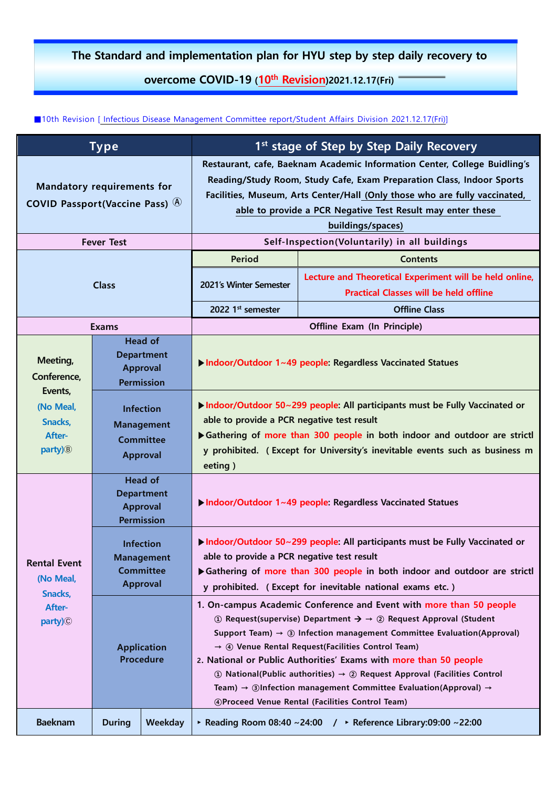## **The Standard and implementation plan for HYU step by step daily recovery to**

## **overcome COVID-19 (10th Revision) 2021.12.17(Fri)**

■10th Revision [Infectious Disease Management Committee report/Student Affairs Division 2021.12.17(Fri)]

| <b>Type</b>                                                                                 |                                                                              |         | 1 <sup>st</sup> stage of Step by Step Daily Recovery                                                                                                                                                                                                                                                                                                                                                                                                                                                                                                                                                                                            |                                                                                                                             |  |
|---------------------------------------------------------------------------------------------|------------------------------------------------------------------------------|---------|-------------------------------------------------------------------------------------------------------------------------------------------------------------------------------------------------------------------------------------------------------------------------------------------------------------------------------------------------------------------------------------------------------------------------------------------------------------------------------------------------------------------------------------------------------------------------------------------------------------------------------------------------|-----------------------------------------------------------------------------------------------------------------------------|--|
| <b>Mandatory requirements for</b><br>COVID Passport(Vaccine Pass) $(A)$                     |                                                                              |         | Restaurant, cafe, Baeknam Academic Information Center, College Buidling's<br>Reading/Study Room, Study Cafe, Exam Preparation Class, Indoor Sports<br>Facilities, Museum, Arts Center/Hall (Only those who are fully vaccinated,<br>able to provide a PCR Negative Test Result may enter these<br>buildings/spaces)                                                                                                                                                                                                                                                                                                                             |                                                                                                                             |  |
| <b>Fever Test</b>                                                                           |                                                                              |         | Self-Inspection(Voluntarily) in all buildings                                                                                                                                                                                                                                                                                                                                                                                                                                                                                                                                                                                                   |                                                                                                                             |  |
| <b>Class</b>                                                                                |                                                                              |         | <b>Period</b><br>2021's Winter Semester                                                                                                                                                                                                                                                                                                                                                                                                                                                                                                                                                                                                         | <b>Contents</b><br>Lecture and Theoretical Experiment will be held online,<br><b>Practical Classes will be held offline</b> |  |
|                                                                                             |                                                                              |         | 2022 1 <sup>st</sup> semester                                                                                                                                                                                                                                                                                                                                                                                                                                                                                                                                                                                                                   | <b>Offline Class</b>                                                                                                        |  |
| <b>Exams</b>                                                                                |                                                                              |         |                                                                                                                                                                                                                                                                                                                                                                                                                                                                                                                                                                                                                                                 | <b>Offline Exam (In Principle)</b>                                                                                          |  |
| Meeting,<br>Conference,<br>Events,<br>(No Meal,<br>Snacks,<br>After-<br>party) <sup>®</sup> | <b>Head of</b><br><b>Department</b><br><b>Approval</b><br><b>Permission</b>  |         | Indoor/Outdoor 1~49 people: Regardless Vaccinated Statues                                                                                                                                                                                                                                                                                                                                                                                                                                                                                                                                                                                       |                                                                                                                             |  |
|                                                                                             | <b>Infection</b><br><b>Management</b><br><b>Committee</b><br><b>Approval</b> |         | Indoor/Outdoor 50~299 people: All participants must be Fully Vaccinated or<br>able to provide a PCR negative test result<br>Gathering of more than 300 people in both indoor and outdoor are strictl<br>y prohibited. (Except for University's inevitable events such as business m<br>eeting)                                                                                                                                                                                                                                                                                                                                                  |                                                                                                                             |  |
| <b>Rental Event</b><br>(No Meal,<br>Snacks,<br>After-<br>party) <sup>(C)</sup>              | <b>Head of</b><br><b>Department</b><br><b>Approval</b><br><b>Permission</b>  |         | Indoor/Outdoor 1~49 people: Regardless Vaccinated Statues                                                                                                                                                                                                                                                                                                                                                                                                                                                                                                                                                                                       |                                                                                                                             |  |
|                                                                                             | <b>Infection</b><br><b>Management</b><br><b>Committee</b><br><b>Approval</b> |         | Indoor/Outdoor 50~299 people: All participants must be Fully Vaccinated or<br>able to provide a PCR negative test result<br>Gathering of more than 300 people in both indoor and outdoor are strictl<br>y prohibited. (Except for inevitable national exams etc.)                                                                                                                                                                                                                                                                                                                                                                               |                                                                                                                             |  |
|                                                                                             | <b>Application</b><br><b>Procedure</b>                                       |         | 1. On-campus Academic Conference and Event with more than 50 people<br>① Request(supervise) Department $\rightarrow \rightarrow \odot$ Request Approval (Student<br>Support Team) $\rightarrow$ 3 Infection management Committee Evaluation(Approval)<br>$\rightarrow$ 4) Venue Rental Request(Facilities Control Team)<br>2. National or Public Authorities' Exams with more than 50 people<br>$\odot$ National(Public authorities) $\rightarrow$ $\odot$ Request Approval (Facilities Control<br>Team) $\rightarrow$ 3 Infection management Committee Evaluation(Approval) $\rightarrow$<br>49 Proceed Venue Rental (Facilities Control Team) |                                                                                                                             |  |
| <b>Baeknam</b>                                                                              | <b>During</b>                                                                | Weekday |                                                                                                                                                                                                                                                                                                                                                                                                                                                                                                                                                                                                                                                 | ▶ Reading Room 08:40 ~24:00 / ▶ Reference Library:09:00 ~22:00                                                              |  |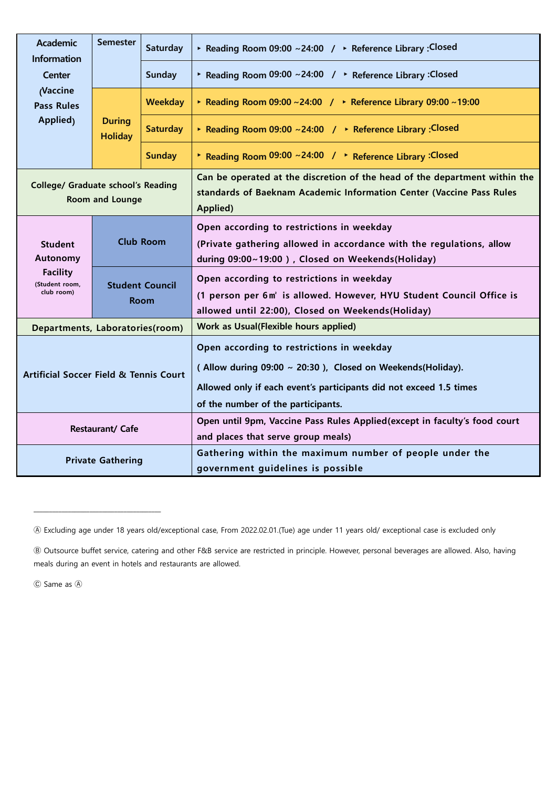| <b>Academic</b><br><b>Information</b>                                         | <b>Semester</b>                       | Saturday        | ▶ Reading Room 09:00 ~24:00 / ▶ Reference Library : Closed                                                                                                                                                          |  |  |
|-------------------------------------------------------------------------------|---------------------------------------|-----------------|---------------------------------------------------------------------------------------------------------------------------------------------------------------------------------------------------------------------|--|--|
| <b>Center</b>                                                                 |                                       | <b>Sunday</b>   | ▶ Reading Room 09:00 ~24:00 / ▶ Reference Library : Closed                                                                                                                                                          |  |  |
| <b>Vaccine</b><br><b>Pass Rules</b><br>Applied <sub>)</sub>                   | <b>During</b><br><b>Holiday</b>       | <b>Weekday</b>  | ▶ Reading Room 09:00 ~24:00 / ▶ Reference Library 09:00 ~19:00                                                                                                                                                      |  |  |
|                                                                               |                                       | <b>Saturday</b> | ▶ Reading Room 09:00 ~24:00 / ▶ Reference Library : Closed                                                                                                                                                          |  |  |
|                                                                               |                                       | <b>Sunday</b>   | ▶ Reading Room 09:00 ~24:00 / ▶ Reference Library : Closed                                                                                                                                                          |  |  |
| <b>College/ Graduate school's Reading</b>                                     | Room and Lounge                       |                 | Can be operated at the discretion of the head of the department within the<br>standards of Baeknam Academic Information Center (Vaccine Pass Rules<br>Applied)                                                      |  |  |
| <b>Student</b><br>Autonomy<br><b>Facility</b><br>(Student room,<br>club room) | <b>Club Room</b>                      |                 | Open according to restrictions in weekday<br>(Private gathering allowed in accordance with the regulations, allow<br>during 09:00~19:00), Closed on Weekends(Holiday)                                               |  |  |
|                                                                               | <b>Student Council</b><br><b>Room</b> |                 | Open according to restrictions in weekday<br>(1 person per 6m <sup>2</sup> is allowed. However, HYU Student Council Office is<br>allowed until 22:00), Closed on Weekends(Holiday)                                  |  |  |
| Departments, Laboratories(room)                                               |                                       |                 | Work as Usual(Flexible hours applied)                                                                                                                                                                               |  |  |
| <b>Artificial Soccer Field &amp; Tennis Court</b>                             |                                       |                 | Open according to restrictions in weekday<br>(Allow during 09:00 ~ 20:30), Closed on Weekends(Holiday).<br>Allowed only if each event's participants did not exceed 1.5 times<br>of the number of the participants. |  |  |
| Restaurant/ Cafe                                                              |                                       |                 | Open until 9pm, Vaccine Pass Rules Applied (except in faculty's food court<br>and places that serve group meals)                                                                                                    |  |  |
| <b>Private Gathering</b>                                                      |                                       |                 | Gathering within the maximum number of people under the<br>government guidelines is possible                                                                                                                        |  |  |

Ⓒ Same as Ⓐ

\_\_\_\_\_\_\_\_\_\_\_\_\_\_\_\_\_\_\_\_\_\_\_\_\_\_\_\_\_\_\_\_\_\_\_\_\_\_\_\_\_

<sup>Ⓐ</sup> Excluding age under 18 years old/exceptional case, From 2022.02.01.(Tue) age under 11 years old/ exceptional case is excluded only

<sup>Ⓑ</sup> Outsource buffet service, catering and other F&B service are restricted in principle. However, personal beverages are allowed. Also, having meals during an event in hotels and restaurants are allowed.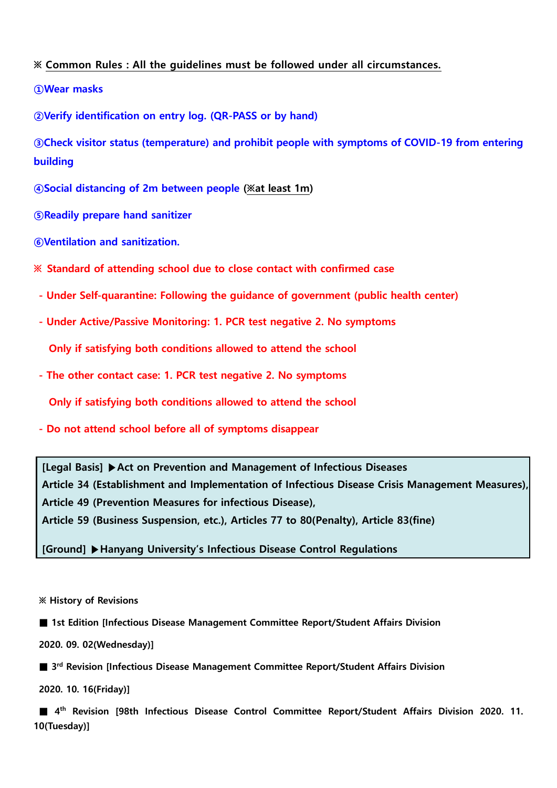## **※ Common Rules : All the guidelines must be followed under all circumstances.**

**①Wear masks**

**②Verify identification on entry log. (QR-PASS or by hand)**

**③Check visitor status (temperature) and prohibit people with symptoms of COVID-19 from entering building**

**④Social distancing of 2m between people (※at least 1m)**

**⑤Readily prepare hand sanitizer**

**⑥Ventilation and sanitization.**

**※ Standard of attending school due to close contact with confirmed case**

- **- Under Self-quarantine: Following the guidance of government (public health center)**
- **- Under Active/Passive Monitoring: 1. PCR test negative 2. No symptoms**

**Only if satisfying both conditions allowed to attend the school**

**- The other contact case: 1. PCR test negative 2. No symptoms**

**Only if satisfying both conditions allowed to attend the school**

**- Do not attend school before all of symptoms disappear**

**[Legal Basis] ▶Act on Prevention and Management of Infectious Diseases Article 34 (Establishment and Implementation of Infectious Disease Crisis Management Measures), Article 49 (Prevention Measures for infectious Disease),**

**Article 59 (Business Suspension, etc.), Articles 77 to 80(Penalty), Article 83(fine)**

**[Ground] ▶Hanyang University's Infectious Disease Control Regulations**

**※ History of Revisions**

**■ 1st Edition [Infectious Disease Management Committee Report/Student Affairs Division**

**2020. 09. 02(Wednesday)]**

■ 3<sup>rd</sup> Revision [Infectious Disease Management Committee Report/Student Affairs Division

**2020. 10. 16(Friday)]**

**■ 4th Revision [98th Infectious Disease Control Committee Report/Student Affairs Division 2020. 11. 10(Tuesday)]**